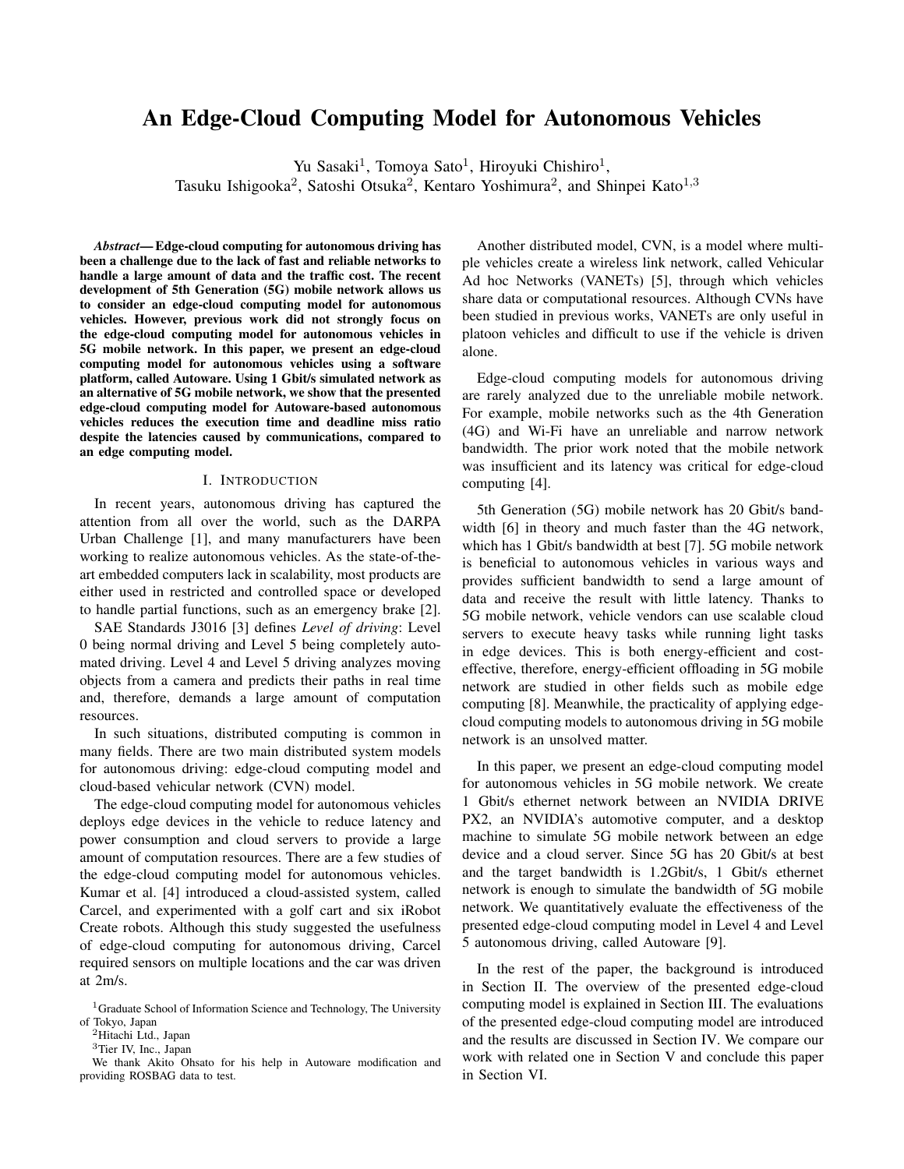# An Edge-Cloud Computing Model for Autonomous Vehicles

Yu Sasaki<sup>1</sup>, Tomoya Sato<sup>1</sup>, Hiroyuki Chishiro<sup>1</sup>,

Tasuku Ishigooka<sup>2</sup>, Satoshi Otsuka<sup>2</sup>, Kentaro Yoshimura<sup>2</sup>, and Shinpei Kato<sup>1,3</sup>

*Abstract*— Edge-cloud computing for autonomous driving has been a challenge due to the lack of fast and reliable networks to handle a large amount of data and the traffic cost. The recent development of 5th Generation (5G) mobile network allows us to consider an edge-cloud computing model for autonomous vehicles. However, previous work did not strongly focus on the edge-cloud computing model for autonomous vehicles in 5G mobile network. In this paper, we present an edge-cloud computing model for autonomous vehicles using a software platform, called Autoware. Using 1 Gbit/s simulated network as an alternative of 5G mobile network, we show that the presented edge-cloud computing model for Autoware-based autonomous vehicles reduces the execution time and deadline miss ratio despite the latencies caused by communications, compared to an edge computing model.

# I. INTRODUCTION

In recent years, autonomous driving has captured the attention from all over the world, such as the DARPA Urban Challenge [1], and many manufacturers have been working to realize autonomous vehicles. As the state-of-theart embedded computers lack in scalability, most products are either used in restricted and controlled space or developed to handle partial functions, such as an emergency brake [2].

SAE Standards J3016 [3] defines *Level of driving*: Level 0 being normal driving and Level 5 being completely automated driving. Level 4 and Level 5 driving analyzes moving objects from a camera and predicts their paths in real time and, therefore, demands a large amount of computation resources.

In such situations, distributed computing is common in many fields. There are two main distributed system models for autonomous driving: edge-cloud computing model and cloud-based vehicular network (CVN) model.

The edge-cloud computing model for autonomous vehicles deploys edge devices in the vehicle to reduce latency and power consumption and cloud servers to provide a large amount of computation resources. There are a few studies of the edge-cloud computing model for autonomous vehicles. Kumar et al. [4] introduced a cloud-assisted system, called Carcel, and experimented with a golf cart and six iRobot Create robots. Although this study suggested the usefulness of edge-cloud computing for autonomous driving, Carcel required sensors on multiple locations and the car was driven at 2m/s.

Another distributed model, CVN, is a model where multiple vehicles create a wireless link network, called Vehicular Ad hoc Networks (VANETs) [5], through which vehicles share data or computational resources. Although CVNs have been studied in previous works, VANETs are only useful in platoon vehicles and difficult to use if the vehicle is driven alone.

Edge-cloud computing models for autonomous driving are rarely analyzed due to the unreliable mobile network. For example, mobile networks such as the 4th Generation (4G) and Wi-Fi have an unreliable and narrow network bandwidth. The prior work noted that the mobile network was insufficient and its latency was critical for edge-cloud computing [4].

5th Generation (5G) mobile network has 20 Gbit/s bandwidth [6] in theory and much faster than the 4G network, which has 1 Gbit/s bandwidth at best [7]. 5G mobile network is beneficial to autonomous vehicles in various ways and provides sufficient bandwidth to send a large amount of data and receive the result with little latency. Thanks to 5G mobile network, vehicle vendors can use scalable cloud servers to execute heavy tasks while running light tasks in edge devices. This is both energy-efficient and costeffective, therefore, energy-efficient offloading in 5G mobile network are studied in other fields such as mobile edge computing [8]. Meanwhile, the practicality of applying edgecloud computing models to autonomous driving in 5G mobile network is an unsolved matter.

In this paper, we present an edge-cloud computing model for autonomous vehicles in 5G mobile network. We create 1 Gbit/s ethernet network between an NVIDIA DRIVE PX2, an NVIDIA's automotive computer, and a desktop machine to simulate 5G mobile network between an edge device and a cloud server. Since 5G has 20 Gbit/s at best and the target bandwidth is 1.2Gbit/s, 1 Gbit/s ethernet network is enough to simulate the bandwidth of 5G mobile network. We quantitatively evaluate the effectiveness of the presented edge-cloud computing model in Level 4 and Level 5 autonomous driving, called Autoware [9].

In the rest of the paper, the background is introduced in Section II. The overview of the presented edge-cloud computing model is explained in Section III. The evaluations of the presented edge-cloud computing model are introduced and the results are discussed in Section IV. We compare our work with related one in Section V and conclude this paper in Section VI.

 $1$ Graduate School of Information Science and Technology, The University of Tokyo, Japan

<sup>&</sup>lt;sup>2</sup>Hitachi Ltd., Japan

<sup>3</sup>Tier IV, Inc., Japan

We thank Akito Ohsato for his help in Autoware modification and providing ROSBAG data to test.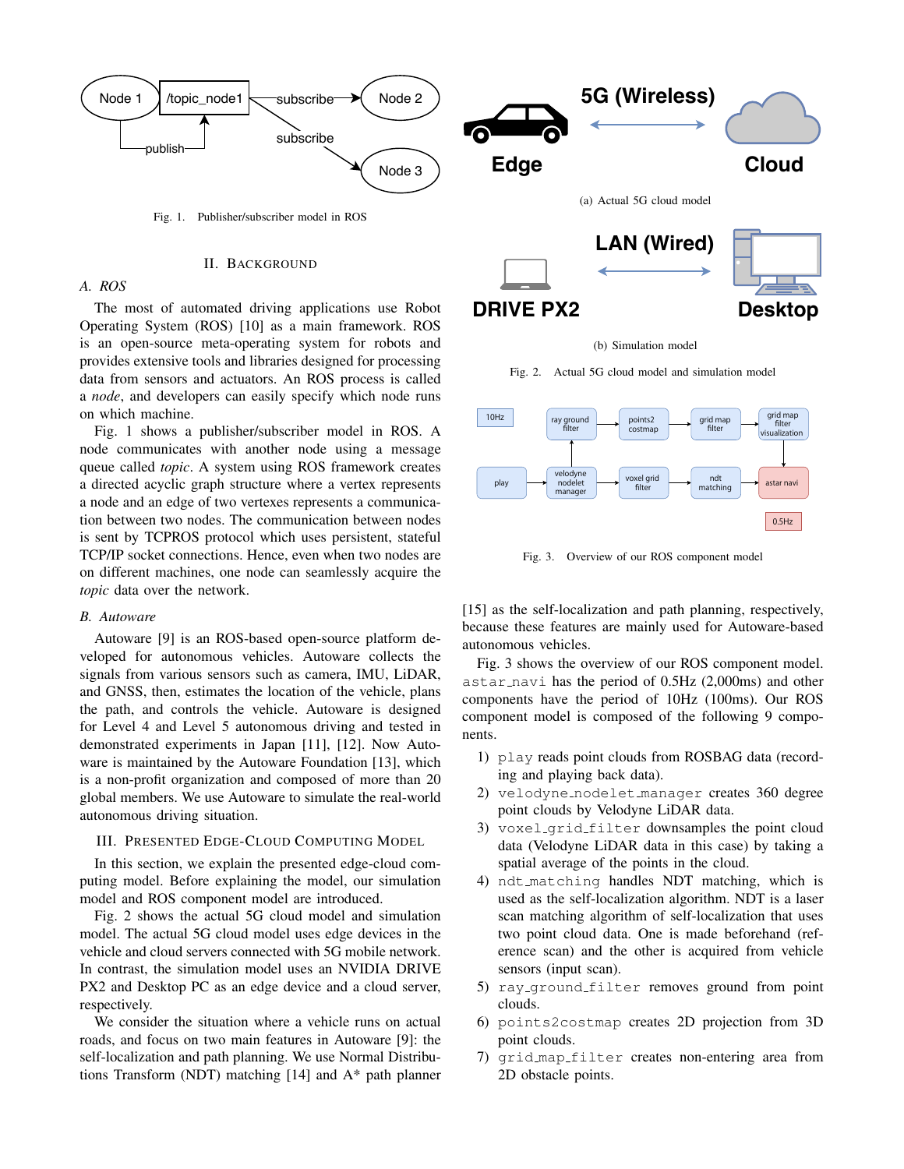

The most of automated driving applications use Robot Operating System (ROS) [10] as a main framework. ROS is an open-source meta-operating system for robots and provides extensive tools and libraries designed for processing data from sensors and actuators. An ROS process is called a *node*, and developers can easily specify which node runs on which machine.

Fig. 1 shows a publisher/subscriber model in ROS. A node communicates with another node using a message queue called *topic*. A system using ROS framework creates a directed acyclic graph structure where a vertex represents a node and an edge of two vertexes represents a communication between two nodes. The communication between nodes is sent by TCPROS protocol which uses persistent, stateful TCP/IP socket connections. Hence, even when two nodes are on different machines, one node can seamlessly acquire the *topic* data over the network.

#### *B. Autoware*

Autoware [9] is an ROS-based open-source platform developed for autonomous vehicles. Autoware collects the signals from various sensors such as camera, IMU, LiDAR, and GNSS, then, estimates the location of the vehicle, plans the path, and controls the vehicle. Autoware is designed for Level 4 and Level 5 autonomous driving and tested in demonstrated experiments in Japan [11], [12]. Now Autoware is maintained by the Autoware Foundation [13], which is a non-profit organization and composed of more than 20 global members. We use Autoware to simulate the real-world autonomous driving situation.

## III. PRESENTED EDGE-CLOUD COMPUTING MODEL

In this section, we explain the presented edge-cloud computing model. Before explaining the model, our simulation model and ROS component model are introduced.

Fig. 2 shows the actual 5G cloud model and simulation model. The actual 5G cloud model uses edge devices in the vehicle and cloud servers connected with 5G mobile network. In contrast, the simulation model uses an NVIDIA DRIVE PX2 and Desktop PC as an edge device and a cloud server, respectively.

We consider the situation where a vehicle runs on actual roads, and focus on two main features in Autoware [9]: the self-localization and path planning. We use Normal Distributions Transform (NDT) matching [14] and A\* path planner

#### (b) Simulation model

Fig. 2. Actual 5G cloud model and simulation model



Fig. 3. Overview of our ROS component model

[15] as the self-localization and path planning, respectively, because these features are mainly used for Autoware-based autonomous vehicles.

Fig. 3 shows the overview of our ROS component model. astar navi has the period of 0.5Hz (2,000ms) and other components have the period of 10Hz (100ms). Our ROS component model is composed of the following 9 components.

- 1) play reads point clouds from ROSBAG data (recording and playing back data).
- 2) velodyne nodelet manager creates 360 degree point clouds by Velodyne LiDAR data.
- 3) voxel grid filter downsamples the point cloud data (Velodyne LiDAR data in this case) by taking a spatial average of the points in the cloud.
- 4) ndt matching handles NDT matching, which is used as the self-localization algorithm. NDT is a laser scan matching algorithm of self-localization that uses two point cloud data. One is made beforehand (reference scan) and the other is acquired from vehicle sensors (input scan).
- 5) ray ground filter removes ground from point clouds.
- 6) points2costmap creates 2D projection from 3D point clouds.
- 7) grid map filter creates non-entering area from 2D obstacle points.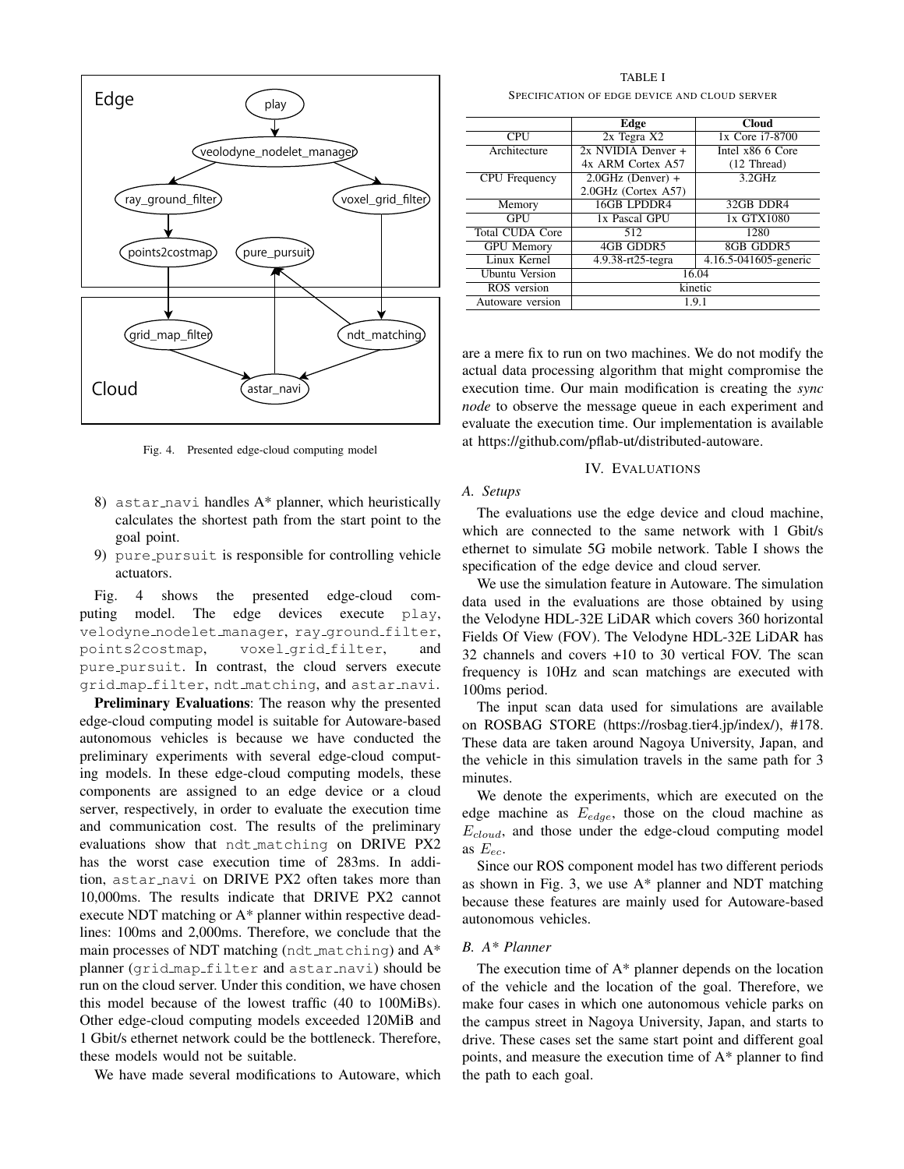

Fig. 4. Presented edge-cloud computing model

- 8) astar navi handles A\* planner, which heuristically calculates the shortest path from the start point to the goal point.
- 9) pure pursuit is responsible for controlling vehicle actuators.

Fig. 4 shows the presented edge-cloud computing model. The edge devices execute play, velodyne nodelet manager, ray ground filter, points2costmap, voxel grid filter, and pure pursuit. In contrast, the cloud servers execute grid map filter, ndt matching, and astar navi.

Preliminary Evaluations: The reason why the presented edge-cloud computing model is suitable for Autoware-based autonomous vehicles is because we have conducted the preliminary experiments with several edge-cloud computing models. In these edge-cloud computing models, these components are assigned to an edge device or a cloud server, respectively, in order to evaluate the execution time and communication cost. The results of the preliminary evaluations show that ndt matching on DRIVE PX2 has the worst case execution time of 283ms. In addition, astar navi on DRIVE PX2 often takes more than 10,000ms. The results indicate that DRIVE PX2 cannot execute NDT matching or A\* planner within respective deadlines: 100ms and 2,000ms. Therefore, we conclude that the main processes of NDT matching (ndt matching) and A\* planner (grid map filter and astar navi) should be run on the cloud server. Under this condition, we have chosen this model because of the lowest traffic (40 to 100MiBs). Other edge-cloud computing models exceeded 120MiB and 1 Gbit/s ethernet network could be the bottleneck. Therefore, these models would not be suitable.

We have made several modifications to Autoware, which

TABLE I SPECIFICATION OF EDGE DEVICE AND CLOUD SERVER

|                        | Edge                   | <b>Cloud</b>          |
|------------------------|------------------------|-----------------------|
| <b>CPU</b>             | 2x Tegra X2            | 1x Core i7-8700       |
| Architecture           | $2x$ NVIDIA Denver $+$ | Intel x86 6 Core      |
|                        | 4x ARM Cortex A57      | $(12)$ Thread)        |
| <b>CPU</b> Frequency   | $2.0$ GHz (Denver) +   | $3.2$ GHz             |
|                        | 2.0GHz (Cortex A57)    |                       |
| Memory                 | 16GB LPDDR4            | 32GB DDR4             |
| GPU                    | 1x Pascal GPU          | 1x GTX1080            |
| <b>Total CUDA Core</b> | 512                    | 1280                  |
| <b>GPU</b> Memory      | 4GB GDDR5              | 8GB GDDR5             |
| Linux Kernel           | 4.9.38-rt25-tegra      | 4.16.5-041605-generic |
| Ubuntu Version         | 16.04                  |                       |
| ROS version            | kinetic                |                       |
| Autoware version       | 1.9.1                  |                       |

are a mere fix to run on two machines. We do not modify the actual data processing algorithm that might compromise the execution time. Our main modification is creating the *sync node* to observe the message queue in each experiment and evaluate the execution time. Our implementation is available at https://github.com/pflab-ut/distributed-autoware.

#### IV. EVALUATIONS

# *A. Setups*

The evaluations use the edge device and cloud machine, which are connected to the same network with 1 Gbit/s ethernet to simulate 5G mobile network. Table I shows the specification of the edge device and cloud server.

We use the simulation feature in Autoware. The simulation data used in the evaluations are those obtained by using the Velodyne HDL-32E LiDAR which covers 360 horizontal Fields Of View (FOV). The Velodyne HDL-32E LiDAR has 32 channels and covers +10 to 30 vertical FOV. The scan frequency is 10Hz and scan matchings are executed with 100ms period.

The input scan data used for simulations are available on ROSBAG STORE (https://rosbag.tier4.jp/index/), #178. These data are taken around Nagoya University, Japan, and the vehicle in this simulation travels in the same path for 3 minutes.

We denote the experiments, which are executed on the edge machine as *Eedge*, those on the cloud machine as *Ecloud*, and those under the edge-cloud computing model as  $E_{ec}$ .

Since our ROS component model has two different periods as shown in Fig. 3, we use A\* planner and NDT matching because these features are mainly used for Autoware-based autonomous vehicles.

# *B. A\* Planner*

The execution time of A\* planner depends on the location of the vehicle and the location of the goal. Therefore, we make four cases in which one autonomous vehicle parks on the campus street in Nagoya University, Japan, and starts to drive. These cases set the same start point and different goal points, and measure the execution time of A\* planner to find the path to each goal.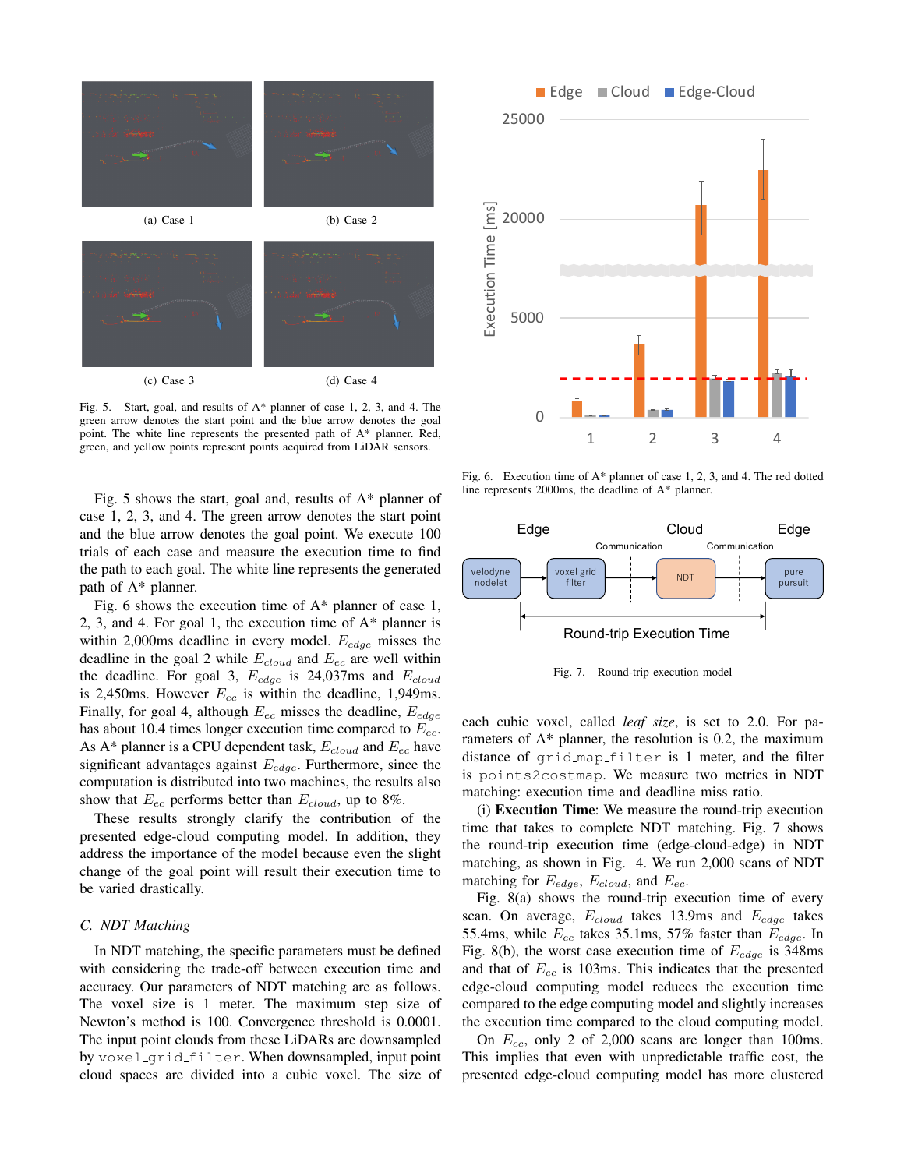

Fig. 5. Start, goal, and results of A\* planner of case 1, 2, 3, and 4. The green arrow denotes the start point and the blue arrow denotes the goal point. The white line represents the presented path of A\* planner. Red, green, and yellow points represent points acquired from LiDAR sensors.

Fig. 5 shows the start, goal and, results of A\* planner of case 1, 2, 3, and 4. The green arrow denotes the start point and the blue arrow denotes the goal point. We execute 100 trials of each case and measure the execution time to find the path to each goal. The white line represents the generated path of A\* planner.

Fig. 6 shows the execution time of  $A^*$  planner of case 1, 2, 3, and 4. For goal 1, the execution time of  $A^*$  planner is within 2,000ms deadline in every model. *Eedge* misses the deadline in the goal 2 while *Ecloud* and *Eec* are well within the deadline. For goal 3, *Eedge* is 24,037ms and *Ecloud* is 2,450ms. However *Eec* is within the deadline, 1,949ms. Finally, for goal 4, although *Eec* misses the deadline, *Eedge* has about 10.4 times longer execution time compared to *Eec*. As A\* planner is a CPU dependent task, *Ecloud* and *Eec* have significant advantages against *Eedge*. Furthermore, since the computation is distributed into two machines, the results also show that *Eec* performs better than *Ecloud*, up to 8%.

These results strongly clarify the contribution of the presented edge-cloud computing model. In addition, they address the importance of the model because even the slight change of the goal point will result their execution time to be varied drastically.

# *C. NDT Matching*

In NDT matching, the specific parameters must be defined with considering the trade-off between execution time and accuracy. Our parameters of NDT matching are as follows. The voxel size is 1 meter. The maximum step size of Newton's method is 100. Convergence threshold is 0.0001. The input point clouds from these LiDARs are downsampled by voxel\_grid\_filter. When downsampled, input point cloud spaces are divided into a cubic voxel. The size of



Fig. 6. Execution time of A\* planner of case 1, 2, 3, and 4. The red dotted line represents 2000ms, the deadline of A\* planner.



Fig. 7. Round-trip execution model

each cubic voxel, called *leaf size*, is set to 2.0. For parameters of A\* planner, the resolution is 0.2, the maximum distance of grid map filter is 1 meter, and the filter is points2costmap. We measure two metrics in NDT matching: execution time and deadline miss ratio.

(i) Execution Time: We measure the round-trip execution time that takes to complete NDT matching. Fig. 7 shows the round-trip execution time (edge-cloud-edge) in NDT matching, as shown in Fig. 4. We run 2,000 scans of NDT matching for *Eedge*, *Ecloud*, and *Eec*.

Fig. 8(a) shows the round-trip execution time of every scan. On average, *Ecloud* takes 13.9ms and *Eedge* takes 55.4ms, while *Eec* takes 35.1ms, 57% faster than *Eedge*. In Fig. 8(b), the worst case execution time of *Eedge* is 348ms and that of *Eec* is 103ms. This indicates that the presented edge-cloud computing model reduces the execution time compared to the edge computing model and slightly increases the execution time compared to the cloud computing model.

On *Eec*, only 2 of 2,000 scans are longer than 100ms. This implies that even with unpredictable traffic cost, the presented edge-cloud computing model has more clustered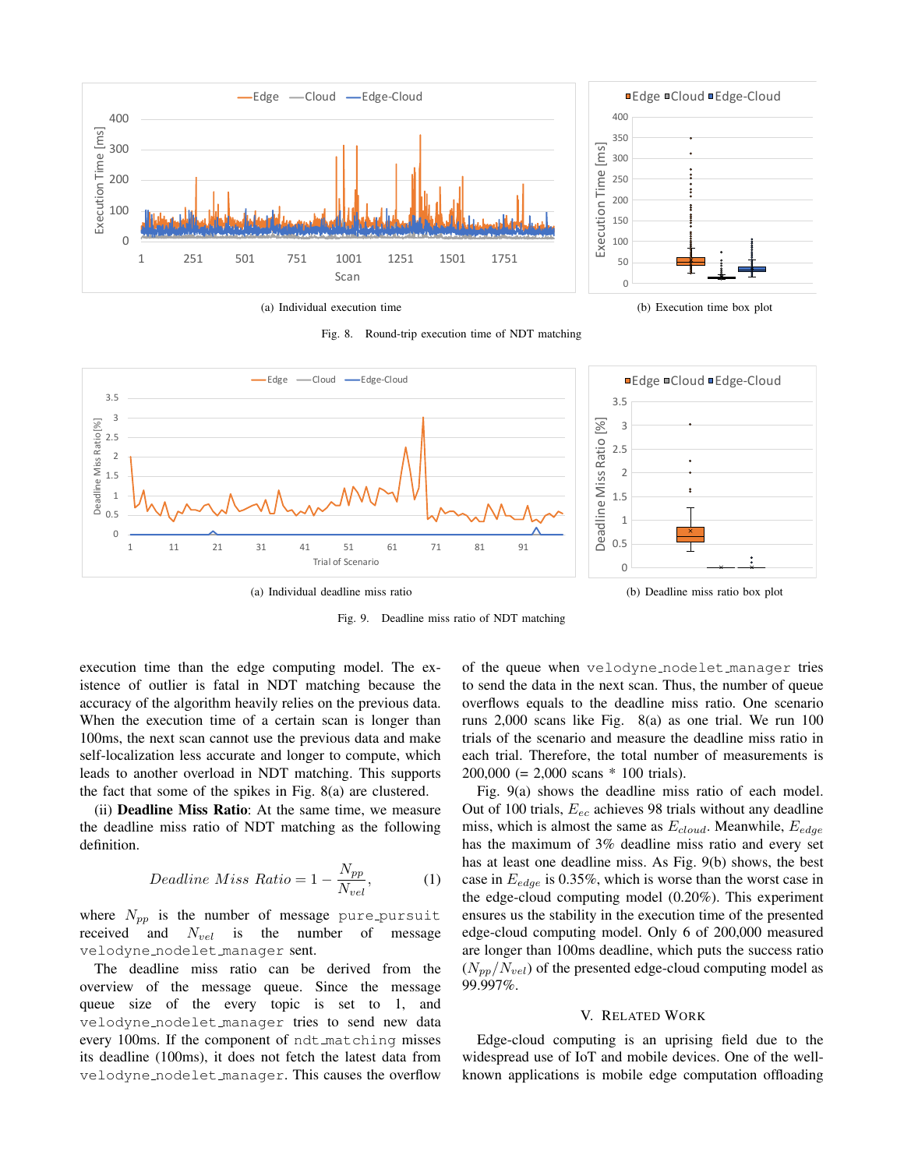

(a) Individual execution time

Fig. 8. Round-trip execution time of NDT matching





Fig. 9. Deadline miss ratio of NDT matching

execution time than the edge computing model. The existence of outlier is fatal in NDT matching because the accuracy of the algorithm heavily relies on the previous data. When the execution time of a certain scan is longer than 100ms, the next scan cannot use the previous data and make self-localization less accurate and longer to compute, which leads to another overload in NDT matching. This supports the fact that some of the spikes in Fig. 8(a) are clustered.

(ii) Deadline Miss Ratio: At the same time, we measure the deadline miss ratio of NDT matching as the following definition.

$$
Deadline Miss Ratio = 1 - \frac{N_{pp}}{N_{vel}},
$$
 (1)

where  $N_{pp}$  is the number of message pure pursuit received and *Nvel* is the number of message velodyne nodelet manager sent.

The deadline miss ratio can be derived from the overview of the message queue. Since the message queue size of the every topic is set to 1, and velodyne nodelet manager tries to send new data every 100ms. If the component of ndt\_matching misses its deadline (100ms), it does not fetch the latest data from velodyne nodelet manager. This causes the overflow of the queue when velodyne nodelet manager tries to send the data in the next scan. Thus, the number of queue overflows equals to the deadline miss ratio. One scenario runs 2,000 scans like Fig. 8(a) as one trial. We run 100 trials of the scenario and measure the deadline miss ratio in each trial. Therefore, the total number of measurements is 200,000 (= 2,000 scans \* 100 trials).

Fig. 9(a) shows the deadline miss ratio of each model. Out of 100 trials, *Eec* achieves 98 trials without any deadline miss, which is almost the same as *Ecloud*. Meanwhile, *Eedge* has the maximum of 3% deadline miss ratio and every set has at least one deadline miss. As Fig. 9(b) shows, the best case in *Eedge* is 0.35%, which is worse than the worst case in the edge-cloud computing model (0.20%). This experiment ensures us the stability in the execution time of the presented edge-cloud computing model. Only 6 of 200,000 measured are longer than 100ms deadline, which puts the success ratio  $(N_{pp}/N_{vel})$  of the presented edge-cloud computing model as 99.997%.

#### V. RELATED WORK

Edge-cloud computing is an uprising field due to the widespread use of IoT and mobile devices. One of the wellknown applications is mobile edge computation offloading